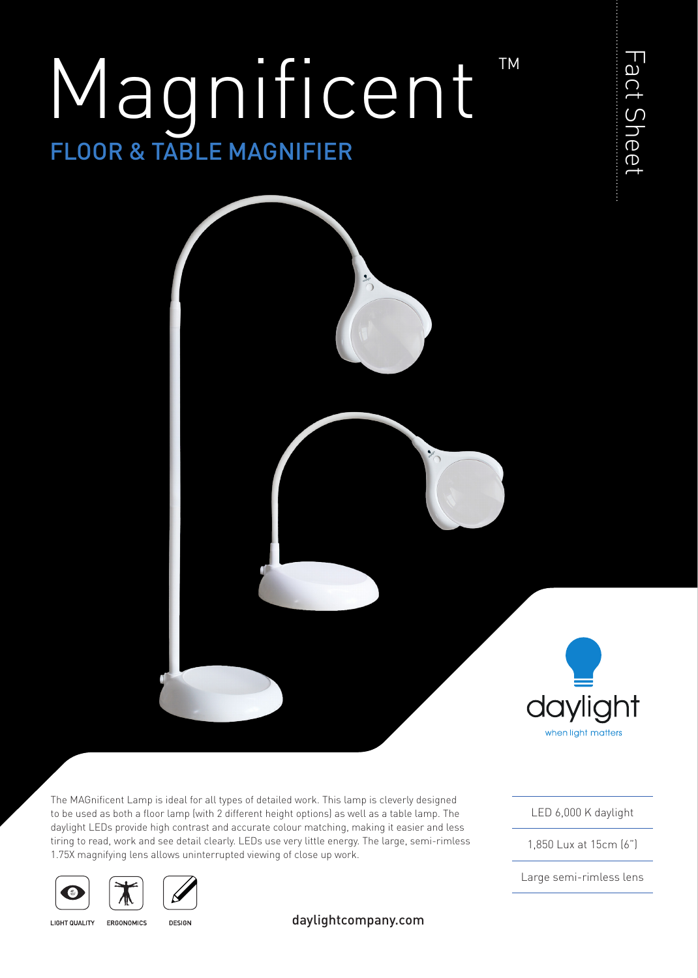# FLOOR & TABLE MAGNIFIER Magnificent TM



The MAGnificent Lamp is ideal for all types of detailed work. This lamp is cleverly designed to be used as both a floor lamp (with 2 different height options) as well as a table lamp. The daylight LEDs provide high contrast and accurate colour matching, making it easier and less tiring to read, work and see detail clearly. LEDs use very little energy. The large, semi-rimless 1.75X magnifying lens allows uninterrupted viewing of close up work.





**LIGHT QUALITY** 

**DESIGN** ERGONOMICS

daylightcompany.com

LED 6,000 K daylight

Fact Sheet

Fact Sheet

1,850 Lux at 15cm (6")

Large semi-rimless lens